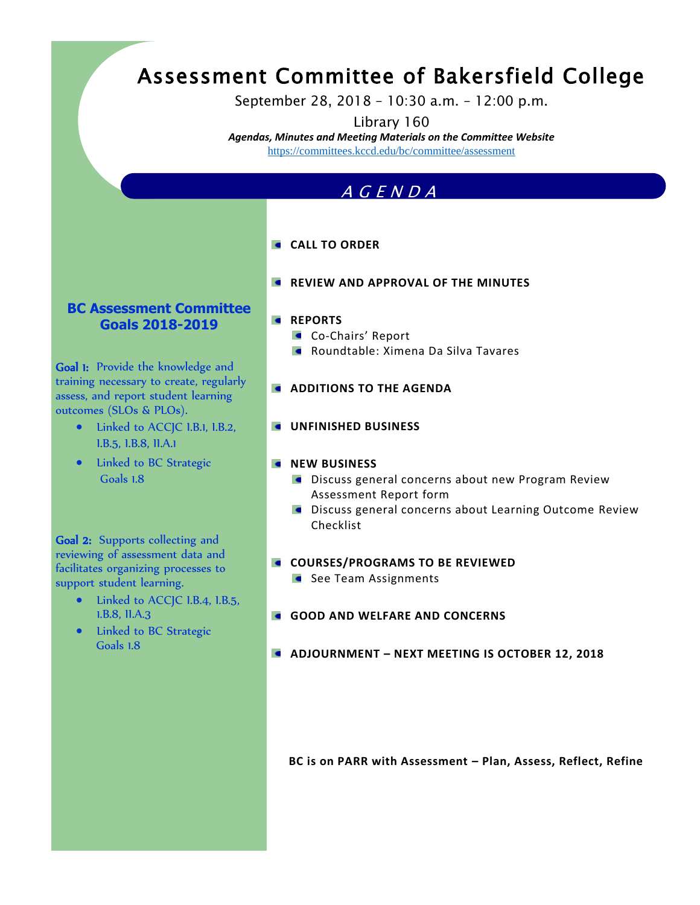# Assessment Committee of Bakersfield College

September 28, 2018 – 10:30 a.m. – 12:00 p.m.

Library 160

*Agendas, Minutes and Meeting Materials on the Committee Website*  https://committees.kccd.edu/bc/committee/assessment

## A G E N D A

## **CALL TO ORDER**

**REVIEW AND APPROVAL OF THE MINUTES** 

## **BC Assessment Committee Goals 2018-2019**

Goal 1: Provide the knowledge and training necessary to create, regularly assess, and report student learning outcomes (SLOs & PLOs).

- Linked to ACCJC I.B.1, I.B.2, I.B.5, I.B.8, II.A.1
- Linked to BC Strategic Goals 1.8

Goal 2: Supports collecting and reviewing of assessment data and facilitates organizing processes to support student learning.

- Linked to ACCJC I.B.4, I.B.5, 1.B.8, II.A.3
- Linked to BC Strategic Goals 1.8

## **REPORTS**

- Co-Chairs' Report
- Roundtable: Ximena Da Silva Tavares
- **ADDITIONS TO THE AGENDA**
- **UNFINISHED BUSINESS**

#### **NEW BUSINESS**

- **C** Discuss general concerns about new Program Review Assessment Report form
- **C** Discuss general concerns about Learning Outcome Review Checklist

#### **COURSES/PROGRAMS TO BE REVIEWED**

- See Team Assignments
- **GOOD AND WELFARE AND CONCERNS**
- **ADJOURNMENT – NEXT MEETING IS OCTOBER 12, 2018**

**BC is on PARR with Assessment – Plan, Assess, Reflect, Refine**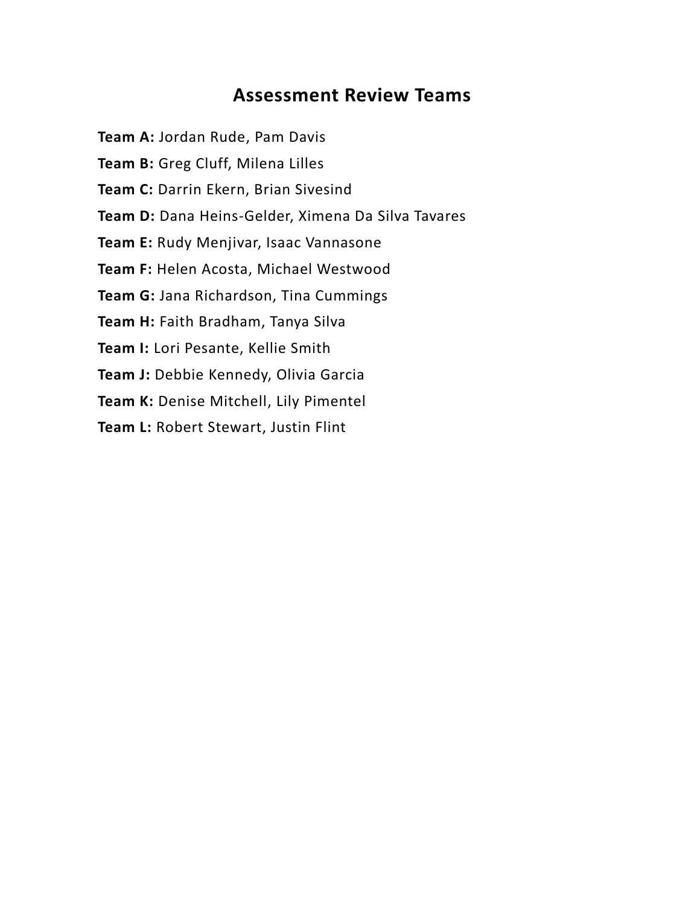## **Assessment Review Teams**

**Team A:** Jordan Rude, Pam Davis **Team B:** Greg Cluff, Milena Lilles **Team C:** Darrin Ekern, Brian Sivesind **Team D:** Dana Heins-Gelder, Ximena Da Silva Tavares **Team E:** Rudy Menjivar, Isaac Vannasone **Team F:** Helen Acosta, Michael Westwood **Team G:** Jana Richardson, Tina Cummings **Team H:** Faith Bradham, Tanya Silva **Team I:** Lori Pesante, Kellie Smith **Team J:** Debbie Kennedy, Olivia Garcia **Team K:** Denise Mitchell, Lily Pimentel **Team L:** Robert Stewart, Justin Flint